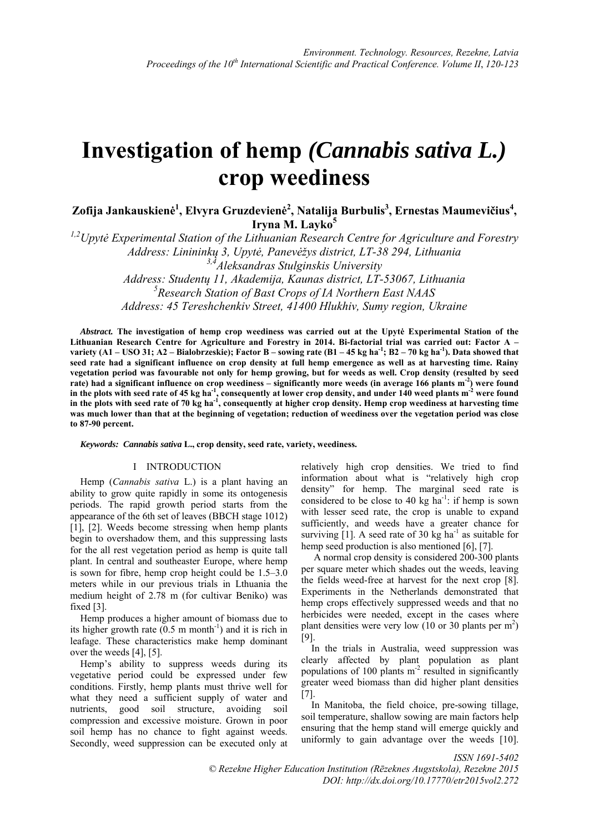# **Investigation of hemp** *(Cannabis sativa L.)* **crop weediness**

 $\bf{Z}$ ofija Jankauskienė $^1$ , Elvyra Gruzdevienė $^2$ , Natalija Burbulis $^3$ , Ernestas Maumevičius $^4$ , **Iryna M. Layko<sup>5</sup>**

*1,2Upytė Experimental Station of the Lithuanian Research Centre for Agriculture and Forestry Address: Linininkų 3, Upytė, Panevėžys district, LT-38 294, Lithuania 3,4Aleksandras Stulginskis University* 

*Address: Studentų 11, Akademija, Kaunas district, LT-53067, Lithuania 5 Research Station of Bast Crops of IA Northern East NAAS Address: 45 Tereshchenkiv Street, 41400 Hlukhiv, Sumy region, Ukraine* 

*Abstract.* **The investigation of hemp crop weediness was carried out at the Upytė Experimental Station of the Lithuanian Research Centre for Agriculture and Forestry in 2014. Bi-factorial trial was carried out: Factor A –**  variety (A1 – USO 31; A2 – Bialobrzeskie); Factor B – sowing rate (B1 – 45 kg ha<sup>-1</sup>; B2 – 70 kg ha<sup>-1</sup>). Data showed that **seed rate had a significant influence on crop density at full hemp emergence as well as at harvesting time. Rainy vegetation period was favourable not only for hemp growing, but for weeds as well. Crop density (resulted by seed rate) had a significant influence on crop weediness – significantly more weeds (in average 166 plants m-2) were found**  in the plots with seed rate of 45 kg ha<sup>-1</sup>, consequently at lower crop density, and under 140 weed plants m<sup>-2</sup> were found in the plots with seed rate of 70 kg ha<sup>-1</sup>, consequently at higher crop density. Hemp crop weediness at harvesting time **was much lower than that at the beginning of vegetation; reduction of weediness over the vegetation period was close to 87-90 percent.** 

*Keywords: Cannabis sativa* **L., crop density, seed rate, variety, weediness.**

# I INTRODUCTION

Hemp (*Cannabis sativa* L.) is a plant having an ability to grow quite rapidly in some its ontogenesis periods. The rapid growth period starts from the appearance of the 6th set of leaves (BBCH stage 1012) [1], [2]. Weeds become stressing when hemp plants begin to overshadow them, and this suppressing lasts for the all rest vegetation period as hemp is quite tall plant. In central and southeaster Europe, where hemp is sown for fibre, hemp crop height could be 1.5–3.0 meters while in our previous trials in Lthuania the medium height of 2.78 m (for cultivar Beniko) was fixed [3].

Hemp produces a higher amount of biomass due to its higher growth rate  $(0.5 \text{ m month}^{-1})$  and it is rich in leafage. These characteristics make hemp dominant over the weeds [4], [5].

Hemp's ability to suppress weeds during its vegetative period could be expressed under few conditions. Firstly, hemp plants must thrive well for what they need a sufficient supply of water and nutrients, good soil structure, avoiding soil compression and excessive moisture. Grown in poor soil hemp has no chance to fight against weeds. Secondly, weed suppression can be executed only at

relatively high crop densities. We tried to find information about what is "relatively high crop density" for hemp. The marginal seed rate is considered to be close to 40 kg  $ha^{-1}$ : if hemp is sown with lesser seed rate, the crop is unable to expand sufficiently, and weeds have a greater chance for surviving [1]. A seed rate of 30 kg  $ha^{-1}$  as suitable for hemp seed production is also mentioned [6], [7].

 A normal crop density is considered 200-300 plants per square meter which shades out the weeds, leaving the fields weed-free at harvest for the next crop [8]. Experiments in the Netherlands demonstrated that hemp crops effectively suppressed weeds and that no herbicides were needed, except in the cases where plant densities were very low  $(10 \text{ or } 30 \text{ plants per m}^2)$ [9].

In the trials in Australia, weed suppression was clearly affected by plant population as plant populations of 100 plants  $m<sup>2</sup>$  resulted in significantly greater weed biomass than did higher plant densities [7].

In Manitoba, the field choice, pre-sowing tillage, soil temperature, shallow sowing are main factors help ensuring that the hemp stand will emerge quickly and uniformly to gain advantage over the weeds [10].

*ISSN 1691-5402 © Rezekne Higher Education Institution (Rēzeknes Augstskola), Rezekne 2015 DOI: http://dx.doi.org/10.17770/etr2015vol2.272*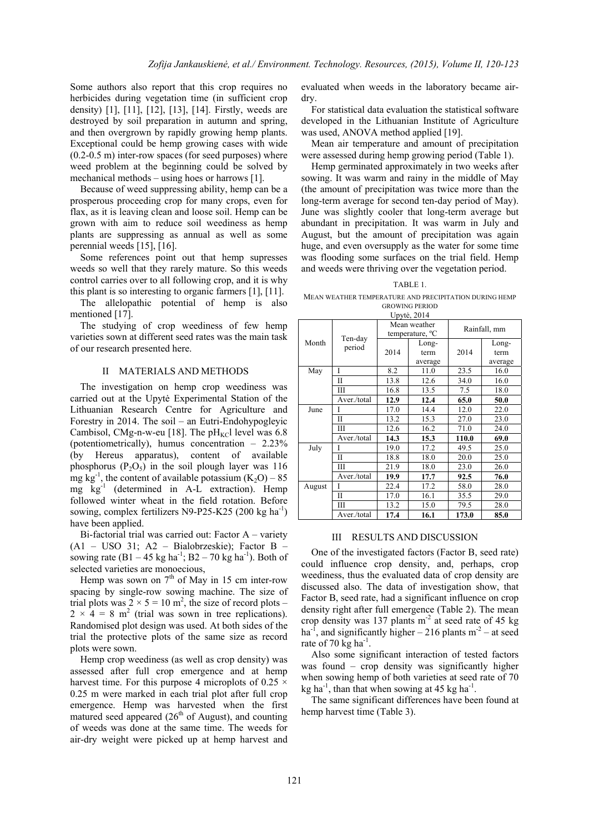Some authors also report that this crop requires no herbicides during vegetation time (in sufficient crop density) [1], [11], [12], [13], [14]. Firstly, weeds are destroyed by soil preparation in autumn and spring, and then overgrown by rapidly growing hemp plants. Exceptional could be hemp growing cases with wide (0.2-0.5 m) inter-row spaces (for seed purposes) where weed problem at the beginning could be solved by mechanical methods – using hoes or harrows [1].

Because of weed suppressing ability, hemp can be a prosperous proceeding crop for many crops, even for flax, as it is leaving clean and loose soil. Hemp can be grown with aim to reduce soil weediness as hemp plants are suppressing as annual as well as some perennial weeds [15], [16].

Some references point out that hemp supresses weeds so well that they rarely mature. So this weeds control carries over to all following crop, and it is why this plant is so interesting to organic farmers [1], [11].

The allelopathic potential of hemp is also mentioned [17].

The studying of crop weediness of few hemp varieties sown at different seed rates was the main task of our research presented here.

### II MATERIALS AND METHODS

The investigation on hemp crop weediness was carried out at the Upytė Experimental Station of the Lithuanian Research Centre for Agriculture and Forestry in 2014. The soil – an Eutri-Endohypogleyic Cambisol, CMg-n-w-eu [18]. The  $pH_{\text{KC}}$ l level was 6.8 (potentiometrically), humus concentration – 2.23% (by Hereus apparatus), content of available phosphorus  $(P_2O_5)$  in the soil plough layer was 116 mg  $kg^{-1}$ , the content of available potassium  $(K_2O) - 85$ mg kg-1 (determined in A-L extraction). Hemp followed winter wheat in the field rotation. Before sowing, complex fertilizers N9-P25-K25 (200 kg ha<sup>-1</sup>) have been applied.

Bi-factorial trial was carried out: Factor A – variety (A1 – USO 31; A2 – Bialobrzeskie); Factor B – sowing rate  $(B1 - 45 \text{ kg ha}^{-1}$ ;  $B2 - 70 \text{ kg ha}^{-1}$ ). Both of selected varieties are monoecious,

Hemp was sown on  $7<sup>th</sup>$  of May in 15 cm inter-row spacing by single-row sowing machine. The size of trial plots was  $2 \times 5 = 10$  m<sup>2</sup>, the size of record plots –  $2 \times 4 = 8$  m<sup>2</sup> (trial was sown in tree replications). Randomised plot design was used. At both sides of the trial the protective plots of the same size as record plots were sown.

Hemp crop weediness (as well as crop density) was assessed after full crop emergence and at hemp harvest time. For this purpose 4 microplots of  $0.25 \times$ 0.25 m were marked in each trial plot after full crop emergence. Hemp was harvested when the first matured seed appeared  $(26<sup>th</sup>$  of August), and counting of weeds was done at the same time. The weeds for air-dry weight were picked up at hemp harvest and evaluated when weeds in the laboratory became airdry.

For statistical data evaluation the statistical software developed in the Lithuanian Institute of Agriculture was used, ANOVA method applied [19].

Mean air temperature and amount of precipitation were assessed during hemp growing period (Table 1).

Hemp germinated approximately in two weeks after sowing. It was warm and rainy in the middle of May (the amount of precipitation was twice more than the long-term average for second ten-day period of May). June was slightly cooler that long-term average but abundant in precipitation. It was warm in July and August, but the amount of precipitation was again huge, and even oversupply as the water for some time was flooding some surfaces on the trial field. Hemp and weeds were thriving over the vegetation period.

# TABLE 1.

MEAN WEATHER TEMPERATURE AND PRECIPITATION DURING HEMP GROWING PERIOD

Upytė, 2014

|        | Ten-day<br>period | Mean weather<br>temperature, <sup>o</sup> C |         | Rainfall, mm |         |
|--------|-------------------|---------------------------------------------|---------|--------------|---------|
| Month  |                   |                                             | Long-   |              | Long-   |
|        |                   | 2014                                        | term    | 2014         | term    |
|        |                   |                                             | average |              | average |
| May    | Ī                 | 8.2                                         | 11.0    | 23.5         | 16.0    |
|        | $\mathbf{I}$      | 13.8                                        | 12.6    | 34.0         | 16.0    |
|        | Ш                 | 16.8                                        | 13.5    | 7.5          | 18.0    |
|        | Aver./total       | 12.9                                        | 12.4    | 65.0         | 50.0    |
| June   |                   | 17.0                                        | 14.4    | 12.0         | 22.0    |
|        | $\mathbf{I}$      | 13.2                                        | 15.3    | 27.0         | 23.0    |
|        | Ш                 | 12.6                                        | 16.2    | 71.0         | 24.0    |
|        | Aver./total       | 14.3                                        | 15.3    | 110.0        | 69.0    |
| July   |                   | 19.0                                        | 17.2    | 49.5         | 25.0    |
|        | H                 | 18.8                                        | 18.0    | 20.0         | 25.0    |
|        | Ш                 | 21.9                                        | 18.0    | 23.0         | 26.0    |
|        | Aver./total       | 19.9                                        | 17.7    | 92.5         | 76.0    |
| August |                   | 22.4                                        | 17.2    | 58.0         | 28.0    |
|        | $\mathbf{I}$      | 17.0                                        | 16.1    | 35.5         | 29.0    |
|        | Ш                 | 13.2                                        | 15.0    | 79.5         | 28.0    |
|        | Aver./total       | 17.4                                        | 16.1    | 173.0        | 85.0    |

### III RESULTS AND DISCUSSION

One of the investigated factors (Factor B, seed rate) could influence crop density, and, perhaps, crop weediness, thus the evaluated data of crop density are discussed also. The data of investigation show, that Factor B, seed rate, had a significant influence on crop density right after full emergence (Table 2). The mean crop density was 137 plants  $m<sup>2</sup>$  at seed rate of 45 kg ha<sup>-1</sup>, and significantly higher – 216 plants  $m<sup>2</sup>$  – at seed rate of 70 kg ha<sup>-1</sup>.

Also some significant interaction of tested factors was found – crop density was significantly higher when sowing hemp of both varieties at seed rate of 70 kg ha<sup>-1</sup>, than that when sowing at 45 kg ha<sup>-1</sup>.

The same significant differences have been found at hemp harvest time (Table 3).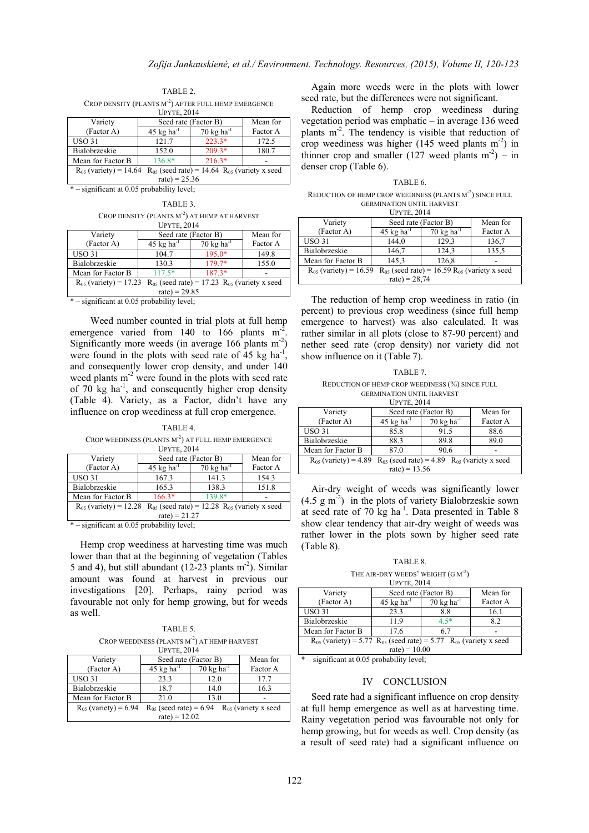TABLE 2.

CROP DENSITY (PLANTS M<sup>-2</sup>) AFTER FULL HEMP EMERGENCE  $U$ <sub>pvTĖ</sub>, 2014

| Variety                                                                             | Seed rate (Factor B)            |                                  | Mean for |  |
|-------------------------------------------------------------------------------------|---------------------------------|----------------------------------|----------|--|
| (Factor A)                                                                          | $45 \text{ kg} \text{ ha}^{-1}$ | $70 \text{ kg}$ ha <sup>-1</sup> | Factor A |  |
| <b>USO 31</b>                                                                       | 121.7                           | $223.3*$                         | 172.5    |  |
| Bialobrzeskie                                                                       | 152.0                           | $209.3*$                         | 180.7    |  |
| Mean for Factor B                                                                   | 136.8*                          | $216.3*$                         |          |  |
| $R_{05}$ (variety) = 14.64<br>$R_{05}$ (seed rate) = 14.64 $R_{05}$ (variety x seed |                                 |                                  |          |  |
| $rate$ ) = 25.36                                                                    |                                 |                                  |          |  |

\* – significant at 0.05 probability level;

TABLE 3. CROP DENSITY (PLANTS M<sup>-2</sup>) AT HEMP AT HARVEST  $U$ <sub>DVTĖ</sub>, 2014

| Variety                                                                             | $-1.11$<br>Seed rate (Factor B) |                                  | Mean for |  |
|-------------------------------------------------------------------------------------|---------------------------------|----------------------------------|----------|--|
| (Factor A)                                                                          | $45 \text{ kg} \text{ ha}^{-1}$ | $70 \text{ kg}$ ha <sup>-1</sup> | Factor A |  |
| <b>USO 31</b>                                                                       | 104.7                           | $195.0*$                         | 149.8    |  |
| Bialobrzeskie                                                                       | 130.3                           | 179.7*                           | 155.0    |  |
| Mean for Factor B                                                                   | $117.5*$                        | $187.3*$                         |          |  |
| $R_{05}$ (seed rate) = 17.23 $R_{05}$ (variety x seed<br>$R_{05}$ (variety) = 17.23 |                                 |                                  |          |  |
| $rate$ ) = 29.85                                                                    |                                 |                                  |          |  |

\* – significant at 0.05 probability level;

Weed number counted in trial plots at full hemp emergence varied from 140 to 166 plants  $m<sup>2</sup>$ . Significantly more weeds (in average  $166$  plants m<sup>-2</sup>) were found in the plots with seed rate of 45 kg ha<sup>-1</sup> and consequently lower crop density, and under 140 weed plants m<sup>-2</sup> were found in the plots with seed rate of  $70 \text{ kg}$  ha<sup>-1</sup>, and consequently higher crop density (Table 4). Variety, as a Factor, didn't have any influence on crop weediness at full crop emergence.

TABLE 4. CROP WEEDINESS (PLANTS M<sup>-2</sup>) AT FULL HEMP EMERGENCE UPYTĖ, 2014

| Variety                                                                          | Seed rate (Factor B)            |                                  | Mean for |  |
|----------------------------------------------------------------------------------|---------------------------------|----------------------------------|----------|--|
| (Factor A)                                                                       | $45 \text{ kg} \text{ ha}^{-1}$ | $70 \text{ kg}$ ha <sup>-1</sup> | Factor A |  |
| <b>USO 31</b>                                                                    | 167.3                           | 141.3                            | 154.3    |  |
| Bialobrzeskie                                                                    | 165.3                           | 138.3                            | 151.8    |  |
| Mean for Factor B                                                                | $166.3*$                        | 139.8*                           |          |  |
| $R_{05}$ (variety) = 12.28 $R_{05}$ (seed rate) = 12.28 $R_{05}$ (variety x seed |                                 |                                  |          |  |
| $rate$ ) = 21.27                                                                 |                                 |                                  |          |  |

\* – significant at 0.05 probability level;

Hemp crop weediness at harvesting time was much lower than that at the beginning of vegetation (Tables 5 and 4), but still abundant (12-23 plants  $m<sup>2</sup>$ ). Similar amount was found at harvest in previous our investigations [20]. Perhaps, rainy period was favourable not only for hemp growing, but for weeds as well.

TABLE 5. CROP WEEDINESS (PLANTS  $M^{-2}$ ) AT HEMP HARVEST

| <b>UPYTE, 2014</b>        |                                                         |                                  |          |  |
|---------------------------|---------------------------------------------------------|----------------------------------|----------|--|
| Variety                   | Seed rate (Factor B)                                    |                                  | Mean for |  |
| (Factor A)                | $45 \text{ kg} \text{ ha}^{-1}$                         | $70 \text{ kg}$ ha <sup>-1</sup> | Factor A |  |
| <b>USO 31</b>             | 23.3                                                    | 12.0                             | 17.7     |  |
| Bialobrzeskie             | 18.7                                                    | 14.0                             | 16.3     |  |
| Mean for Factor B         | 21.0                                                    | 13.0                             |          |  |
| $R_{05}$ (variety) = 6.94 | $R_{05}$ (variety x seed<br>$R_{05}$ (seed rate) = 6.94 |                                  |          |  |
| $rate$ ) = 12.02          |                                                         |                                  |          |  |

Again more weeds were in the plots with lower seed rate, but the differences were not significant.

Reduction of hemp crop weediness during vegetation period was emphatic – in average 136 weed plants m-2. The tendency is visible that reduction of crop weediness was higher (145 weed plants  $m<sup>-2</sup>$ ) in thinner crop and smaller (127 weed plants  $m<sup>2</sup>$ ) – in denser crop (Table 6).

TABLE 6. REDUCTION OF HEMP CROP WEEDINESS (PLANTS M<sup>-2</sup>) SINCE FULL GERMINATION UNTIL HARVEST I IDVTĖ, 2014

| UF I IE, $2014$                                                                     |                                  |                                  |          |  |
|-------------------------------------------------------------------------------------|----------------------------------|----------------------------------|----------|--|
| Variety                                                                             | Seed rate (Factor B)             |                                  | Mean for |  |
| (Factor A)                                                                          | $45 \text{ kg}$ ha <sup>-1</sup> | $70 \text{ kg}$ ha <sup>-1</sup> | Factor A |  |
| <b>USO 31</b>                                                                       | 144,0                            | 129.3                            | 136,7    |  |
| Bialobrzeskie                                                                       | 146,7                            | 124,3                            | 135,5    |  |
| Mean for Factor B                                                                   | 145,3                            | 126,8                            |          |  |
| $R_{05}$ (seed rate) = 16.59 $R_{05}$ (variety x seed<br>$R_{05}$ (variety) = 16.59 |                                  |                                  |          |  |
| $rate$ ) = 28,74                                                                    |                                  |                                  |          |  |

The reduction of hemp crop weediness in ratio (in percent) to previous crop weediness (since full hemp emergence to harvest) was also calculated. It was rather similar in all plots (close to 87-90 percent) and nether seed rate (crop density) nor variety did not show influence on it (Table 7).

TABLE 7. REDUCTION OF HEMP CROP WEEDINESS (%) SINCE FULL GERMINATION UNTIL HARVEST

| <b>UPYTĖ, 2014</b>                                                                |                                 |                                  |          |  |
|-----------------------------------------------------------------------------------|---------------------------------|----------------------------------|----------|--|
| Variety                                                                           | Seed rate (Factor B)            |                                  | Mean for |  |
| (Factor A)                                                                        | $45 \text{ kg} \text{ ha}^{-1}$ | $70 \text{ kg}$ ha <sup>-1</sup> | Factor A |  |
| <b>USO 31</b>                                                                     | 85.8                            | 91.5                             | 88.6     |  |
| Bialobrzeskie                                                                     | 88.3                            | 89.8                             | 89.0     |  |
| Mean for Factor B                                                                 | 87.0                            | 90.6                             |          |  |
| $R_{05}$ (variety) = 4.89<br>$R_{05}$ (seed rate) = 4.89 $R_{05}$ (variety x seed |                                 |                                  |          |  |
| $rate) = 13.56$                                                                   |                                 |                                  |          |  |

Air-dry weight of weeds was significantly lower  $(4.5 \text{ g m}^2)$  in the plots of variety Bialobrzeskie sown at seed rate of 70  $kg$  ha<sup>-1</sup>. Data presented in Table 8 show clear tendency that air-dry weight of weeds was rather lower in the plots sown by higher seed rate (Table 8).

TABLE 8.

THE AIR-DRY WEEDS' WEIGHT  $(G M^{-2})$ 

| <b>UPYTE, 2014</b>                                                             |                                 |                                 |          |  |
|--------------------------------------------------------------------------------|---------------------------------|---------------------------------|----------|--|
| Variety                                                                        | Seed rate (Factor B)            |                                 | Mean for |  |
| (Factor A)                                                                     | $45 \text{ kg} \text{ ha}^{-1}$ | $70 \text{ kg} \text{ ha}^{-1}$ | Factor A |  |
| <b>USO 31</b>                                                                  | 23.3                            | 8.8                             | 16.1     |  |
| Bialobrzeskie                                                                  | 11.9                            | $4.5*$                          | 8.2      |  |
| Mean for Factor B                                                              | 17.6                            | 6.7                             |          |  |
| $R_{05}$ (variety) = 5.77 $R_{05}$ (seed rate) = 5.77 $R_{05}$ (variety x seed |                                 |                                 |          |  |
| $rate$ ) = 10.00                                                               |                                 |                                 |          |  |

\* – significant at 0.05 probability level;

# IV CONCLUSION

Seed rate had a significant influence on crop density at full hemp emergence as well as at harvesting time. Rainy vegetation period was favourable not only for hemp growing, but for weeds as well. Crop density (as a result of seed rate) had a significant influence on